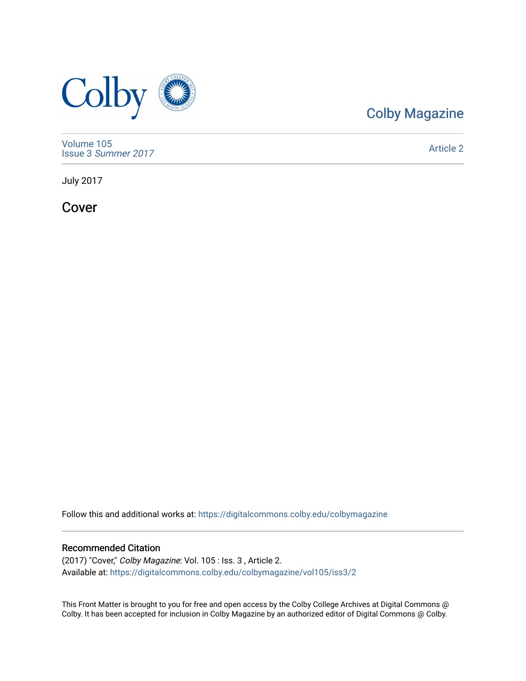

## [Colby Magazine](https://digitalcommons.colby.edu/colbymagazine)

[Volume 105](https://digitalcommons.colby.edu/colbymagazine/vol105) Issue 3 [Summer 2017](https://digitalcommons.colby.edu/colbymagazine/vol105/iss3) 

[Article 2](https://digitalcommons.colby.edu/colbymagazine/vol105/iss3/2) 

July 2017

Cover

Follow this and additional works at: [https://digitalcommons.colby.edu/colbymagazine](https://digitalcommons.colby.edu/colbymagazine?utm_source=digitalcommons.colby.edu%2Fcolbymagazine%2Fvol105%2Fiss3%2F2&utm_medium=PDF&utm_campaign=PDFCoverPages)

## Recommended Citation

(2017) "Cover," Colby Magazine: Vol. 105 : Iss. 3 , Article 2. Available at: [https://digitalcommons.colby.edu/colbymagazine/vol105/iss3/2](https://digitalcommons.colby.edu/colbymagazine/vol105/iss3/2?utm_source=digitalcommons.colby.edu%2Fcolbymagazine%2Fvol105%2Fiss3%2F2&utm_medium=PDF&utm_campaign=PDFCoverPages) 

This Front Matter is brought to you for free and open access by the Colby College Archives at Digital Commons @ Colby. It has been accepted for inclusion in Colby Magazine by an authorized editor of Digital Commons @ Colby.